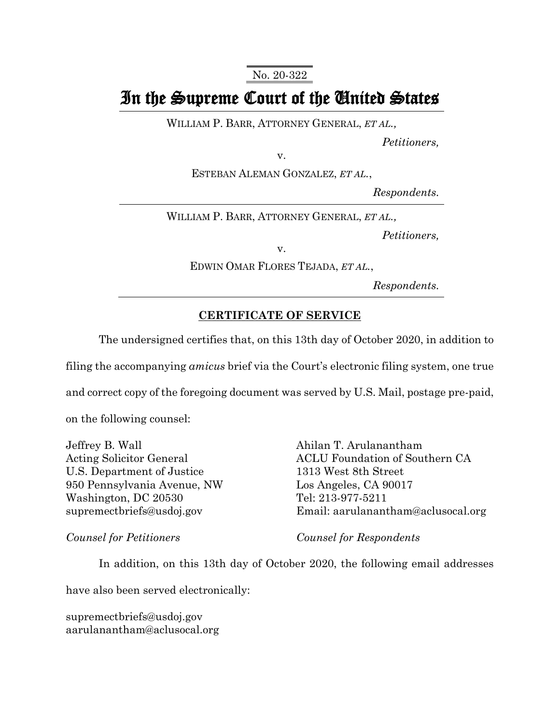No. 20-322

## In the Supreme Court of the United States

WILLIAM P. BARR, ATTORNEY GENERAL, *ET AL.,*

*Petitioners,*

v.

ESTEBAN ALEMAN GONZALEZ, *ET AL.*,

*Respondents.*

WILLIAM P. BARR, ATTORNEY GENERAL, *ET AL.,*

*Petitioners,*

v.

EDWIN OMAR FLORES TEJADA, *ET AL.*,

*Respondents.*

## **CERTIFICATE OF SERVICE**

The undersigned certifies that, on this 13th day of October 2020, in addition to

filing the accompanying *amicus* brief via the Court's electronic filing system, one true

and correct copy of the foregoing document was served by U.S. Mail, postage pre-paid,

on the following counsel:

Jeffrey B. Wall Acting Solicitor General U.S. Department of Justice 950 Pennsylvania Avenue, NW Washington, DC 20530 supremectbriefs@usdoj.gov

Ahilan T. Arulanantham ACLU Foundation of Southern CA 1313 West 8th Street Los Angeles, CA 90017 Tel: 213-977-5211 Email: aarulanantham@aclusocal.org

*Counsel for Petitioners*

*Counsel for Respondents*

In addition, on this 13th day of October 2020, the following email addresses

have also been served electronically:

supremectbriefs@usdoj.gov aarulanantham@aclusocal.org